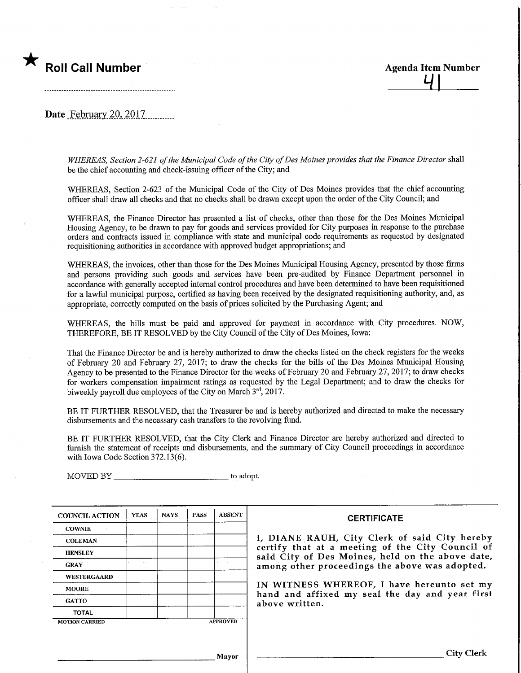

Date February 20, 2017

WHEREAS, Section 2-621 of the Municipal Code of the City of Des Moines provides that the Finance Director shall be the chief accounting and check-issuing officer of the City; and

WHEREAS, Section 2-623 of the Municipal Code of the City of Des Moines provides that the chief accounting officer shall draw all checks and that no checks shall be drawn except upon the order of the City Council; and

WHEREAS, the Finance Director has presented a list of checks, other than those for the Des Moines Municipal Housing Agency, to be drawn to pay for goods and services provided for City purposes in response to the purchase orders and contracts issued m compliance with state and municipal code requirements as requested by designated requisitioning authorities m accordance with approved budget appropriations; and

WHEREAS, the invoices, other than those for the Des Moines Municipal Housing Agency, presented by those firms and persons providing such goods and services have been pre-audited by Finance Department personnel in accordance with generally accepted internal control procedures and have been determined to have been requisitioned for a lawful municipal purpose, certified as having been received by the designated requisitioning authority, and,as appropriate, correctly computed on the basis of prices solicited by the Purchasing Agent; and

WHEREAS, the bills must be paid and approved for payment in accordance with City procedures. NOW, THEREFORE, BE IT RESOLVED by the City Council of the City of Des Moines, Iowa:

That the Finance Director be and is hereby authorized to draw the checks listed on the check registers for the weeks of February 20 and February 27, 2017; to draw the checks for the bills of the Des Moines Municipal Housing Agency to be presented to the Finance Director for the weeks of February 20 and February 27,2017; to draw checks for workers compensation impairment ratings as requested by the Legal Department; and to draw the checks for biweekly payroll due employees of the City on March 3rd, 2017.

BE IT FURTHER RESOLVED, that the Treasurer be and is hereby authorized and directed to make the necessary disbursements and the necessary cash transfers to the revolving fund.

BE IT FURTHER RESOLVED, that the City Clerk and Finance Director are hereby authorized and directed to furnish the statement of receipts and disbursements, and the summary of City Council proceedings in accordance with Iowa Code Section 372.13(6).

MOVED BY \_\_\_\_\_\_\_\_\_\_\_\_\_\_\_\_\_\_\_\_\_\_\_\_\_\_\_\_\_\_\_\_\_ to adopt.

| <b>COUNCIL ACTION</b> | <b>YEAS</b> | <b>NAYS</b> | <b>PASS</b> | <b>ABSENT</b>   | <b>CERTIFICATE</b>                                                                                   |  |  |  |
|-----------------------|-------------|-------------|-------------|-----------------|------------------------------------------------------------------------------------------------------|--|--|--|
| <b>COWNIE</b>         |             |             |             |                 |                                                                                                      |  |  |  |
| <b>COLEMAN</b>        |             |             |             |                 | I, DIANE RAUH, City Clerk of said City hereby                                                        |  |  |  |
| <b>HENSLEY</b>        |             |             |             |                 | certify that at a meeting of the City Council of<br>said City of Des Moines, held on the above date, |  |  |  |
| <b>GRAY</b>           |             |             |             |                 | among other proceedings the above was adopted.                                                       |  |  |  |
| WESTERGAARD           |             |             |             |                 |                                                                                                      |  |  |  |
| <b>MOORE</b>          |             |             |             |                 | IN WITNESS WHEREOF, I have hereunto set my<br>hand and affixed my seal the day and year first        |  |  |  |
| <b>GATTO</b>          |             |             |             |                 | above written.                                                                                       |  |  |  |
| <b>TOTAL</b>          |             |             |             |                 |                                                                                                      |  |  |  |
| <b>MOTION CARRIED</b> |             |             |             | <b>APPROVED</b> |                                                                                                      |  |  |  |
|                       |             |             |             |                 |                                                                                                      |  |  |  |
|                       |             |             |             |                 |                                                                                                      |  |  |  |
|                       |             |             |             | Mayor           | City Clerk                                                                                           |  |  |  |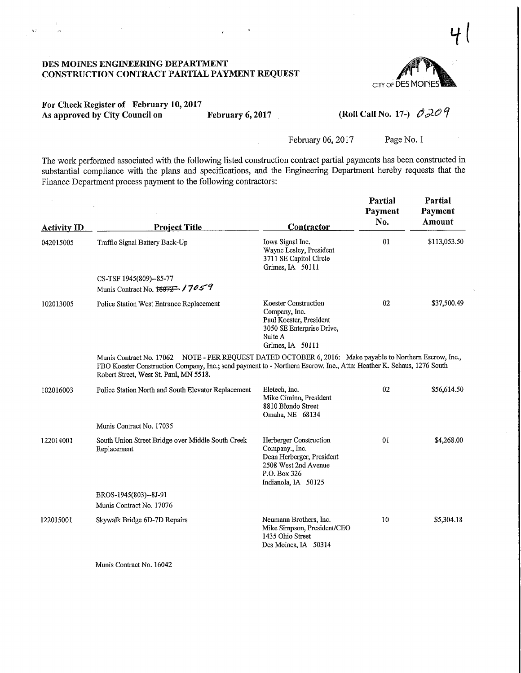

## For Check Register of February 10,2017 As approved by City Council on February 6, 2017 (Roll Call No. 17-)  $\partial \mathcal{LO} \mathcal{Q}$

 $\mathbf{v}$ 

 $\bar{z}$ 

February 06, 2017 Page No. 1

The work performed associated with the following listed construction contract partial payments has been constructed in substantial compliance with the plans and specifications, and the Engineering Department hereby requests that the Finance Department process payment to the following contractors:

| <b>Activity ID</b> | <b>Project Title</b>                                                                                                                                                                                                                                                        | Contractor                                                                                                                           | Partial<br>Payment<br>No. | Partial<br>Payment<br>Amount |
|--------------------|-----------------------------------------------------------------------------------------------------------------------------------------------------------------------------------------------------------------------------------------------------------------------------|--------------------------------------------------------------------------------------------------------------------------------------|---------------------------|------------------------------|
| 042015005          | Traffic Signal Battery Back-Up                                                                                                                                                                                                                                              | Iowa Signal Inc.<br>Wayne Lesley, President<br>3711 SE Capitol Circle<br>Grimes, IA 50111                                            | 01                        | \$113,053.50                 |
|                    | CS-TSF 1945(809)--85-77<br>Munis Contract No. 16072 17059                                                                                                                                                                                                                   |                                                                                                                                      |                           |                              |
| 102013005          | Police Station West Entrance Replacement                                                                                                                                                                                                                                    | <b>Koester Construction</b><br>Company, Inc.<br>Paul Koester, President<br>3050 SE Enterprise Drive,<br>Suite A<br>Grimes, IA 50111  | 02                        | \$37,500.49                  |
|                    | Munis Contract No. 17062 NOTE - PER REQUEST DATED OCTOBER 6, 2016: Make payable to Northern Escrow, Inc.,<br>FBO Koester Construction Company, Inc.; send payment to - Northern Escrow, Inc., Attn: Heather K. Schaus, 1276 South<br>Robert Street, West St. Paul, MN 5518. |                                                                                                                                      |                           |                              |
| 102016003          | Police Station North and South Elevator Replacement                                                                                                                                                                                                                         | Eletech, Inc.<br>Mike Cimino, President<br>8810 Blondo Street<br>Omaha, NE 68134                                                     | 02                        | \$56,614.50                  |
|                    | Munis Contract No. 17035                                                                                                                                                                                                                                                    |                                                                                                                                      |                           |                              |
| 122014001          | South Union Street Bridge over Middle South Creek<br>Replacement                                                                                                                                                                                                            | Herberger Construction<br>Company., Inc.<br>Dean Herberger, President<br>2508 West 2nd Avenue<br>P.O. Box 326<br>Indianola, IA 50125 | 01                        | \$4,268.00                   |
|                    | BROS-1945(803)--8J-91<br>Munis Contract No. 17076                                                                                                                                                                                                                           |                                                                                                                                      |                           |                              |
| 122015001          | Skywalk Bridge 6D-7D Repairs                                                                                                                                                                                                                                                | Neumann Brothers, Inc.<br>Mike Simpson, President/CEO<br>1435 Ohio Street<br>Des Moines, IA 50314                                    | 10                        | \$5,304.18                   |

Munis Contract No. 16042

1l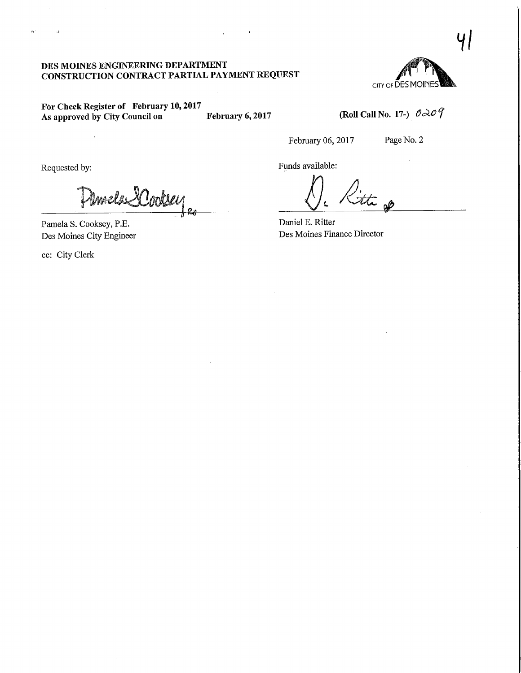CITY OF DES MOINE

 $\mathcal{U}$ 

For Check Register of February 10,2017 As approved by City Council on February 6, 2017

(Roll Call No. 17-)  $\partial \lambda \partial \hat{\mathcal{G}}$ 

February 06, 2017 Page No. 2

Mmela SCookee

Pamela S. Cooksey, P.E. Des Moines City Engineer

 $\overline{1}$ 

ec: City Clerk

 $\bar{\lambda}$ 

Requested by: Funds available:

).<br>the go

Daniel E. Ritter Des Moines Finance Director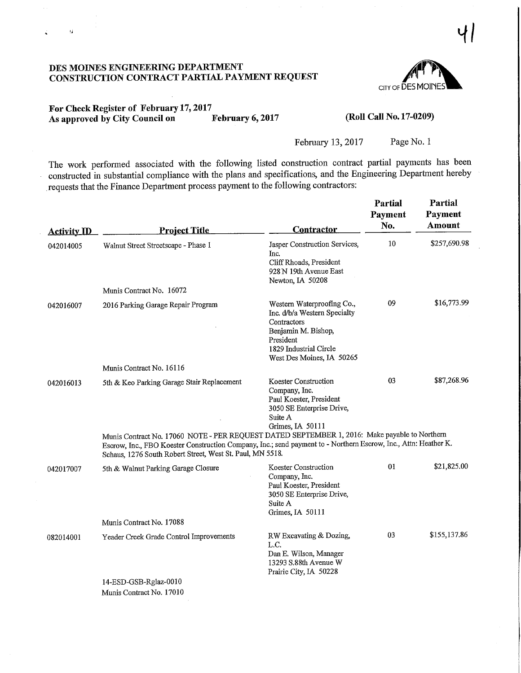

 $\left| \cdot \right|$ 

## For Check Register of February 17, 2017<br>As approved by City Council on February 6, 2017 As approved by City Council on

 $\dot{\boldsymbol{\theta}}$ 

CRoll Call No. 17-0209)

February 13, 2017 Page No. 1

The work performed associated with the following listed construction contract partial payments has been constructed in substantial compliance with the plans and specifications, and the Engineering Department hereby .requests that the Finance Department process payment to the following contractors:

| <b>Activity ID</b> | <b>Project Title</b>                                                                                                                                                                                                                                                          | <b>Contractor</b>                                                                                                                                                    | Partial<br>Payment<br>No. | Partial<br>Payment<br>Amount |  |  |  |  |
|--------------------|-------------------------------------------------------------------------------------------------------------------------------------------------------------------------------------------------------------------------------------------------------------------------------|----------------------------------------------------------------------------------------------------------------------------------------------------------------------|---------------------------|------------------------------|--|--|--|--|
| 042014005          | Walnut Street Streetscape - Phase 1                                                                                                                                                                                                                                           | Jasper Construction Services,<br>Inc.<br>Cliff Rhoads, President<br>928 N 19th Avenue East<br>Newton, IA 50208                                                       | 10                        | \$257,690.98                 |  |  |  |  |
|                    | Munis Contract No. 16072                                                                                                                                                                                                                                                      |                                                                                                                                                                      |                           |                              |  |  |  |  |
| 042016007          | 2016 Parking Garage Repair Program                                                                                                                                                                                                                                            | Western Waterproofing Co.,<br>Inc. d/b/a Western Specialty<br>Contractors<br>Benjamin M. Bishop,<br>President<br>1829 Industrial Circle<br>West Des Moines, IA 50265 | 09                        | \$16,773.99                  |  |  |  |  |
|                    | Munis Contract No. 16116                                                                                                                                                                                                                                                      |                                                                                                                                                                      |                           |                              |  |  |  |  |
| 042016013          | 5th & Keo Parking Garage Stair Replacement                                                                                                                                                                                                                                    | <b>Koester Construction</b><br>Company, Inc.<br>Paul Koester, President<br>3050 SE Enterprise Drive,<br>Suite A<br>Grimes, IA 50111                                  | 03                        | \$87,268.96                  |  |  |  |  |
|                    | Munis Contract No. 17060 NOTE - PER REQUEST DATED SEPTEMBER 1, 2016: Make payable to Northern<br>Escrow, Inc., FBO Koester Construction Company, Inc.; send payment to - Northern Escrow, Inc., Attn: Heather K.<br>Schaus, 1276 South Robert Street, West St. Paul, MN 5518. |                                                                                                                                                                      |                           |                              |  |  |  |  |
| 042017007          | 5th & Walnut Parking Garage Closure                                                                                                                                                                                                                                           | Koester Construction<br>Company, Inc.<br>Paul Koester, President<br>3050 SE Enterprise Drive,<br>Suite A<br>Grimes, IA 50111                                         | 01                        | \$21,825.00                  |  |  |  |  |
|                    | Munis Contract No. 17088                                                                                                                                                                                                                                                      |                                                                                                                                                                      |                           |                              |  |  |  |  |
| 082014001          | Yeader Creek Grade Control Improvements                                                                                                                                                                                                                                       | RW Excavating & Dozing,<br>L.C.<br>Dan E. Wilson, Manager<br>13293 S.88th Avenue W<br>Prairie City, IA 50228                                                         | 03                        | \$155,137.86                 |  |  |  |  |
|                    | 14-ESD-GSB-Rglaz-0010                                                                                                                                                                                                                                                         |                                                                                                                                                                      |                           |                              |  |  |  |  |
|                    | Munis Contract No. 17010                                                                                                                                                                                                                                                      |                                                                                                                                                                      |                           |                              |  |  |  |  |